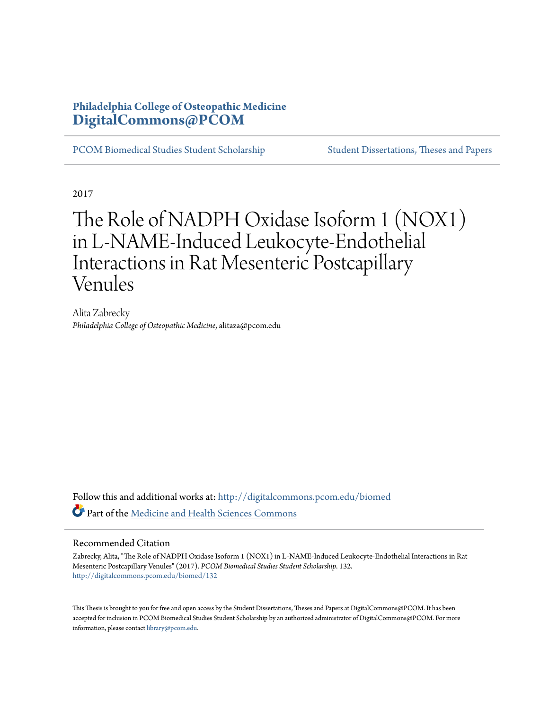# **Philadelphia College of Osteopathic Medicine [DigitalCommons@PCOM](http://digitalcommons.pcom.edu?utm_source=digitalcommons.pcom.edu%2Fbiomed%2F132&utm_medium=PDF&utm_campaign=PDFCoverPages)**

[PCOM Biomedical Studies Student Scholarship](http://digitalcommons.pcom.edu/biomed?utm_source=digitalcommons.pcom.edu%2Fbiomed%2F132&utm_medium=PDF&utm_campaign=PDFCoverPages) [Student Dissertations, Theses and Papers](http://digitalcommons.pcom.edu/etds?utm_source=digitalcommons.pcom.edu%2Fbiomed%2F132&utm_medium=PDF&utm_campaign=PDFCoverPages)

2017

# The Role of NADPH Oxidase Isoform 1 (NOX1) in L-NAME-Induced Leukocyte-Endothelial Interactions in Rat Mesenteric Postcapillary Venules

Alita Zabrecky *Philadelphia College of Osteopathic Medicine*, alitaza@pcom.edu

Follow this and additional works at: [http://digitalcommons.pcom.edu/biomed](http://digitalcommons.pcom.edu/biomed?utm_source=digitalcommons.pcom.edu%2Fbiomed%2F132&utm_medium=PDF&utm_campaign=PDFCoverPages) Part of the [Medicine and Health Sciences Commons](http://network.bepress.com/hgg/discipline/648?utm_source=digitalcommons.pcom.edu%2Fbiomed%2F132&utm_medium=PDF&utm_campaign=PDFCoverPages)

#### Recommended Citation

Zabrecky, Alita, "The Role of NADPH Oxidase Isoform 1 (NOX1) in L-NAME-Induced Leukocyte-Endothelial Interactions in Rat Mesenteric Postcapillary Venules" (2017). *PCOM Biomedical Studies Student Scholarship*. 132. [http://digitalcommons.pcom.edu/biomed/132](http://digitalcommons.pcom.edu/biomed/132?utm_source=digitalcommons.pcom.edu%2Fbiomed%2F132&utm_medium=PDF&utm_campaign=PDFCoverPages)

This Thesis is brought to you for free and open access by the Student Dissertations, Theses and Papers at DigitalCommons@PCOM. It has been accepted for inclusion in PCOM Biomedical Studies Student Scholarship by an authorized administrator of DigitalCommons@PCOM. For more information, please contact [library@pcom.edu.](mailto:library@pcom.edu)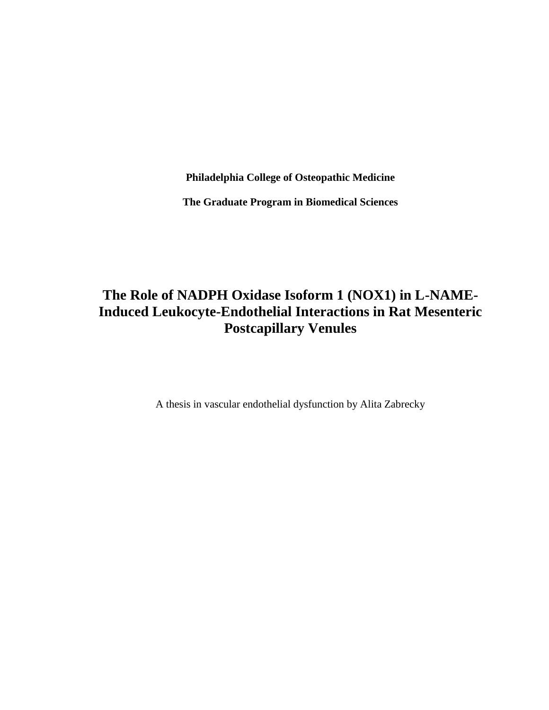**Philadelphia College of Osteopathic Medicine**

**The Graduate Program in Biomedical Sciences**

# **The Role of NADPH Oxidase Isoform 1 (NOX1) in L-NAME-Induced Leukocyte-Endothelial Interactions in Rat Mesenteric Postcapillary Venules**

A thesis in vascular endothelial dysfunction by Alita Zabrecky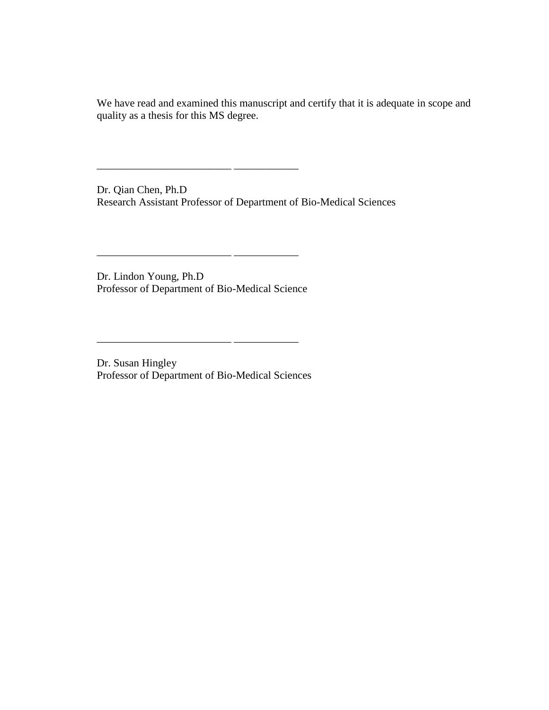We have read and examined this manuscript and certify that it is adequate in scope and quality as a thesis for this MS degree.

Dr. Qian Chen, Ph.D Research Assistant Professor of Department of Bio-Medical Sciences

 $\frac{1}{\sqrt{2\pi}}$  , and the set of  $\frac{1}{\sqrt{2\pi}}$ 

\_\_\_\_\_\_\_\_\_\_\_\_\_\_\_\_\_\_\_\_\_\_\_\_\_ \_\_\_\_\_\_\_\_\_\_\_\_

Dr. Lindon Young, Ph.D Professor of Department of Bio-Medical Science

Dr. Susan Hingley Professor of Department of Bio-Medical Sciences

\_\_\_\_\_\_\_\_\_\_\_\_\_\_\_\_\_\_\_\_\_\_\_\_\_ \_\_\_\_\_\_\_\_\_\_\_\_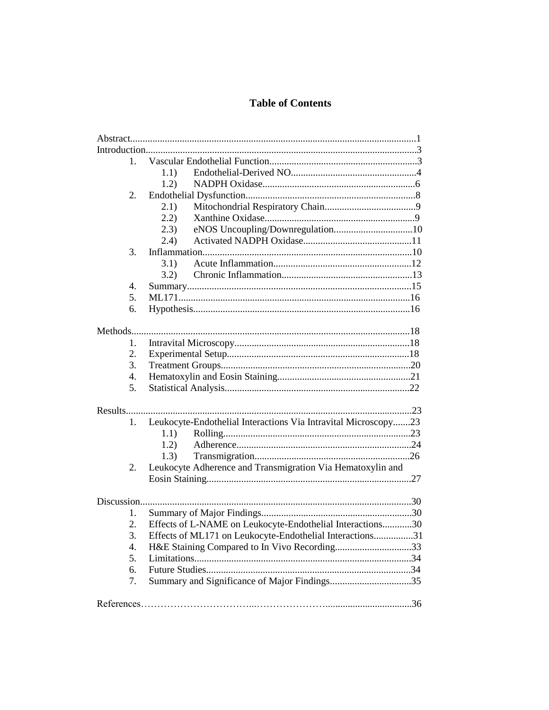# **Table of Contents**

| 1. |                                                                |  |
|----|----------------------------------------------------------------|--|
|    | 1.1)                                                           |  |
|    | 1.2)                                                           |  |
| 2. |                                                                |  |
|    | 2.1)                                                           |  |
|    | 2.2)                                                           |  |
|    | eNOS Uncoupling/Downregulation10<br>(2.3)                      |  |
|    | (2.4)                                                          |  |
| 3. |                                                                |  |
|    | 3.1)                                                           |  |
|    | 3.2)                                                           |  |
| 4. |                                                                |  |
| 5. |                                                                |  |
| 6. |                                                                |  |
|    |                                                                |  |
|    |                                                                |  |
| 1. |                                                                |  |
| 2. |                                                                |  |
| 3. |                                                                |  |
| 4. |                                                                |  |
| 5. |                                                                |  |
|    |                                                                |  |
|    |                                                                |  |
| 1. | Leukocyte-Endothelial Interactions Via Intravital Microscopy23 |  |
|    | 1.1)                                                           |  |
|    | 1.2)                                                           |  |
|    | 1.3)                                                           |  |
| 2. | Leukocyte Adherence and Transmigration Via Hematoxylin and     |  |
|    |                                                                |  |
|    |                                                                |  |
|    |                                                                |  |
| 1. |                                                                |  |
| 2. | Effects of L-NAME on Leukocyte-Endothelial Interactions30      |  |
| 3. | Effects of ML171 on Leukocyte-Endothelial Interactions31       |  |
| 4. | H&E Staining Compared to In Vivo Recording33                   |  |
| 5. |                                                                |  |
| 6. |                                                                |  |
| 7. |                                                                |  |
|    |                                                                |  |
|    |                                                                |  |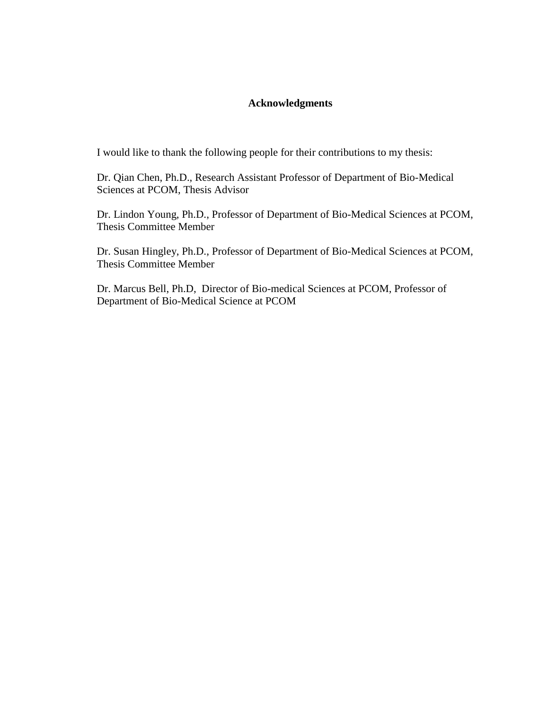# **Acknowledgments**

I would like to thank the following people for their contributions to my thesis:

Dr. Qian Chen, Ph.D., Research Assistant Professor of Department of Bio-Medical Sciences at PCOM, Thesis Advisor

Dr. Lindon Young, Ph.D., Professor of Department of Bio-Medical Sciences at PCOM, Thesis Committee Member

Dr. Susan Hingley, Ph.D., Professor of Department of Bio-Medical Sciences at PCOM, Thesis Committee Member

Dr. Marcus Bell, Ph.D, Director of Bio-medical Sciences at PCOM, Professor of Department of Bio-Medical Science at PCOM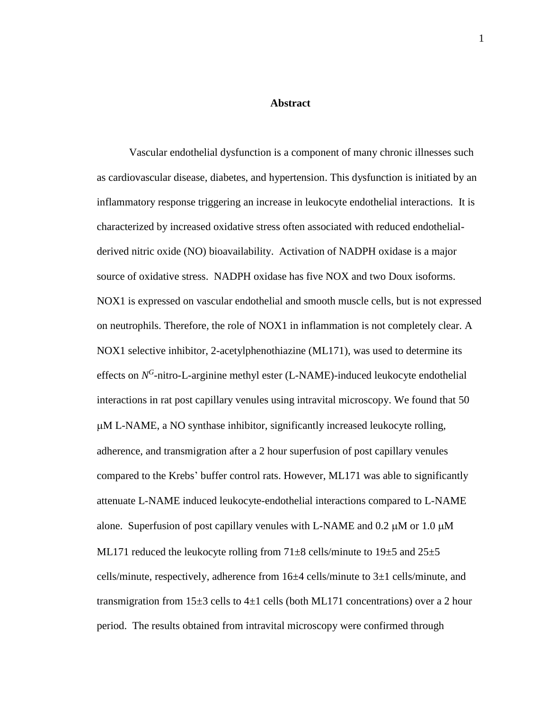# **Abstract**

Vascular endothelial dysfunction is a component of many chronic illnesses such as cardiovascular disease, diabetes, and hypertension. This dysfunction is initiated by an inflammatory response triggering an increase in leukocyte endothelial interactions. It is characterized by increased oxidative stress often associated with reduced endothelialderived nitric oxide (NO) bioavailability. Activation of NADPH oxidase is a major source of oxidative stress. NADPH oxidase has five NOX and two Doux isoforms. NOX1 is expressed on vascular endothelial and smooth muscle cells, but is not expressed on neutrophils. Therefore, the role of NOX1 in inflammation is not completely clear. A NOX1 selective inhibitor, 2-acetylphenothiazine (ML171), was used to determine its effects on N<sup>G</sup>-nitro-L-arginine methyl ester (L-NAME)-induced leukocyte endothelial interactions in rat post capillary venules using intravital microscopy. We found that 50 M L-NAME, a NO synthase inhibitor, significantly increased leukocyte rolling, adherence, and transmigration after a 2 hour superfusion of post capillary venules compared to the Krebs' buffer control rats. However, ML171 was able to significantly attenuate L-NAME induced leukocyte-endothelial interactions compared to L-NAME alone. Superfusion of post capillary venules with L-NAME and  $0.2 \mu M$  or  $1.0 \mu M$ ML171 reduced the leukocyte rolling from  $71\pm8$  cells/minute to  $19\pm5$  and  $25\pm5$ cells/minute, respectively, adherence from 16±4 cells/minute to 3±1 cells/minute, and transmigration from  $15\pm 3$  cells to  $4\pm 1$  cells (both ML171 concentrations) over a 2 hour period. The results obtained from intravital microscopy were confirmed through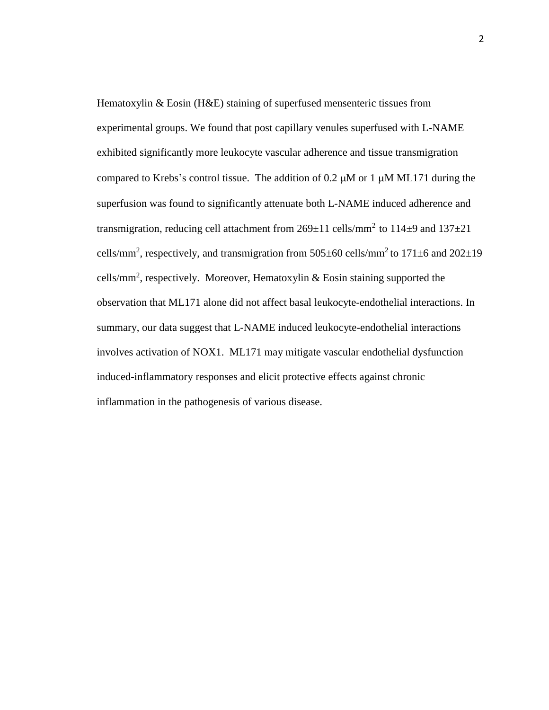Hematoxylin & Eosin (H&E) staining of superfused mensenteric tissues from experimental groups. We found that post capillary venules superfused with L-NAME exhibited significantly more leukocyte vascular adherence and tissue transmigration compared to Krebs's control tissue. The addition of 0.2  $\mu$ M or 1  $\mu$ M ML171 during the superfusion was found to significantly attenuate both L-NAME induced adherence and transmigration, reducing cell attachment from  $269 \pm 11$  cells/mm<sup>2</sup> to  $114 \pm 9$  and  $137 \pm 21$ cells/mm<sup>2</sup>, respectively, and transmigration from 505 $\pm$ 60 cells/mm<sup>2</sup> to 171 $\pm$ 6 and 202 $\pm$ 19 cells/mm<sup>2</sup>, respectively. Moreover, Hematoxylin & Eosin staining supported the observation that ML171 alone did not affect basal leukocyte-endothelial interactions. In summary, our data suggest that L-NAME induced leukocyte-endothelial interactions involves activation of NOX1. ML171 may mitigate vascular endothelial dysfunction induced-inflammatory responses and elicit protective effects against chronic inflammation in the pathogenesis of various disease.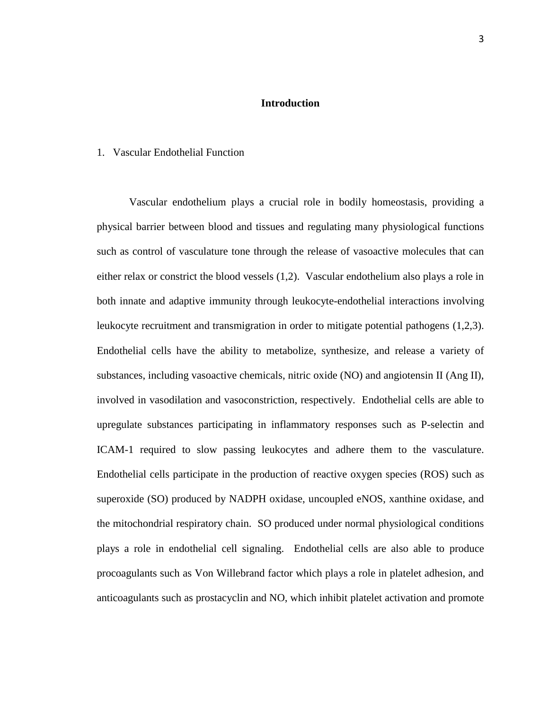# **Introduction**

#### 1. Vascular Endothelial Function

Vascular endothelium plays a crucial role in bodily homeostasis, providing a physical barrier between blood and tissues and regulating many physiological functions such as control of vasculature tone through the release of vasoactive molecules that can either relax or constrict the blood vessels (1,2). Vascular endothelium also plays a role in both innate and adaptive immunity through leukocyte-endothelial interactions involving leukocyte recruitment and transmigration in order to mitigate potential pathogens (1,2,3). Endothelial cells have the ability to metabolize, synthesize, and release a variety of substances, including vasoactive chemicals, nitric oxide (NO) and angiotensin II (Ang II), involved in vasodilation and vasoconstriction, respectively. Endothelial cells are able to upregulate substances participating in inflammatory responses such as P-selectin and ICAM-1 required to slow passing leukocytes and adhere them to the vasculature. Endothelial cells participate in the production of reactive oxygen species (ROS) such as superoxide (SO) produced by NADPH oxidase, uncoupled eNOS, xanthine oxidase, and the mitochondrial respiratory chain. SO produced under normal physiological conditions plays a role in endothelial cell signaling. Endothelial cells are also able to produce procoagulants such as Von Willebrand factor which plays a role in platelet adhesion, and anticoagulants such as prostacyclin and NO, which inhibit platelet activation and promote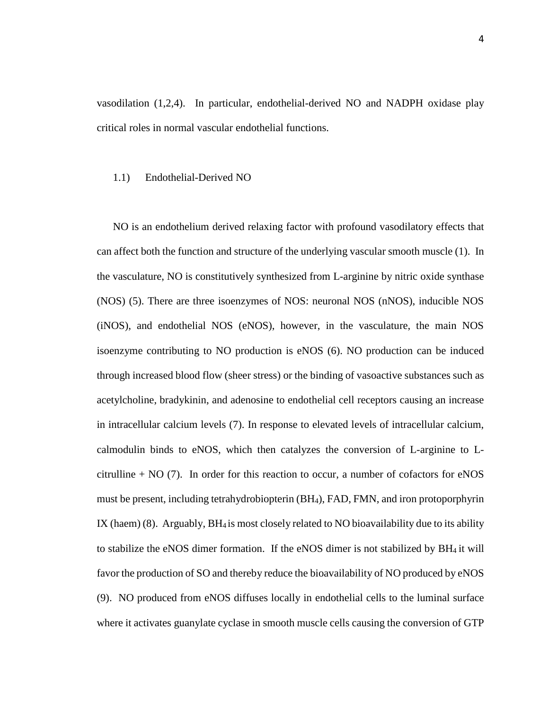vasodilation (1,2,4). In particular, endothelial-derived NO and NADPH oxidase play critical roles in normal vascular endothelial functions.

#### 1.1) Endothelial-Derived NO

NO is an endothelium derived relaxing factor with profound vasodilatory effects that can affect both the function and structure of the underlying vascular smooth muscle (1). In the vasculature, NO is constitutively synthesized from L-arginine by nitric oxide synthase (NOS) (5). There are three isoenzymes of NOS: neuronal NOS (nNOS), inducible NOS (iNOS), and endothelial NOS (eNOS), however, in the vasculature, the main NOS isoenzyme contributing to NO production is eNOS (6). NO production can be induced through increased blood flow (sheer stress) or the binding of vasoactive substances such as acetylcholine, bradykinin, and adenosine to endothelial cell receptors causing an increase in intracellular calcium levels (7). In response to elevated levels of intracellular calcium, calmodulin binds to eNOS, which then catalyzes the conversion of L-arginine to Lcitrulline  $+$  NO (7). In order for this reaction to occur, a number of cofactors for eNOS must be present, including tetrahydrobiopterin (BH4), FAD, FMN, and iron protoporphyrin IX (haem) (8). Arguably,  $BH_4$  is most closely related to NO bioavailability due to its ability to stabilize the eNOS dimer formation. If the eNOS dimer is not stabilized by BH4 it will favor the production of SO and thereby reduce the bioavailability of NO produced by eNOS (9). NO produced from eNOS diffuses locally in endothelial cells to the luminal surface where it activates guanylate cyclase in smooth muscle cells causing the conversion of GTP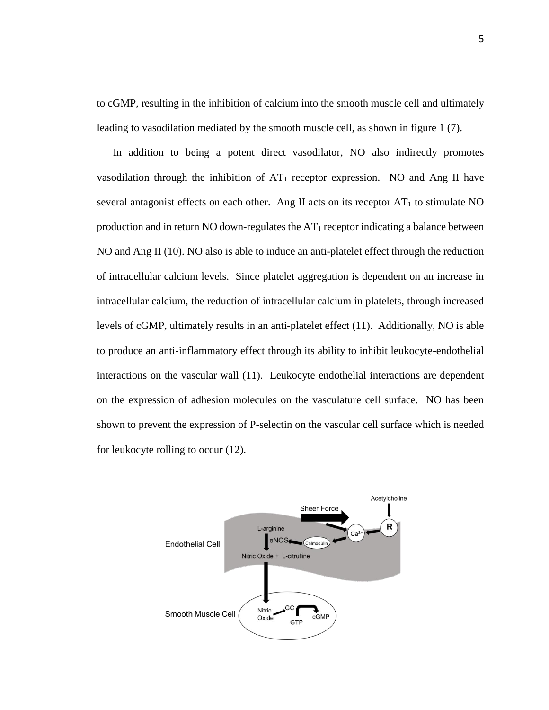to cGMP, resulting in the inhibition of calcium into the smooth muscle cell and ultimately leading to vasodilation mediated by the smooth muscle cell, as shown in figure 1 (7).

 In addition to being a potent direct vasodilator, NO also indirectly promotes vasodilation through the inhibition of  $AT_1$  receptor expression. NO and Ang II have several antagonist effects on each other. Ang II acts on its receptor  $AT_1$  to stimulate NO production and in return NO down-regulates the  $AT_1$  receptor indicating a balance between NO and Ang II (10). NO also is able to induce an anti-platelet effect through the reduction of intracellular calcium levels. Since platelet aggregation is dependent on an increase in intracellular calcium, the reduction of intracellular calcium in platelets, through increased levels of cGMP, ultimately results in an anti-platelet effect (11). Additionally, NO is able to produce an anti-inflammatory effect through its ability to inhibit leukocyte-endothelial interactions on the vascular wall (11). Leukocyte endothelial interactions are dependent on the expression of adhesion molecules on the vasculature cell surface. NO has been shown to prevent the expression of P-selectin on the vascular cell surface which is needed for leukocyte rolling to occur (12).

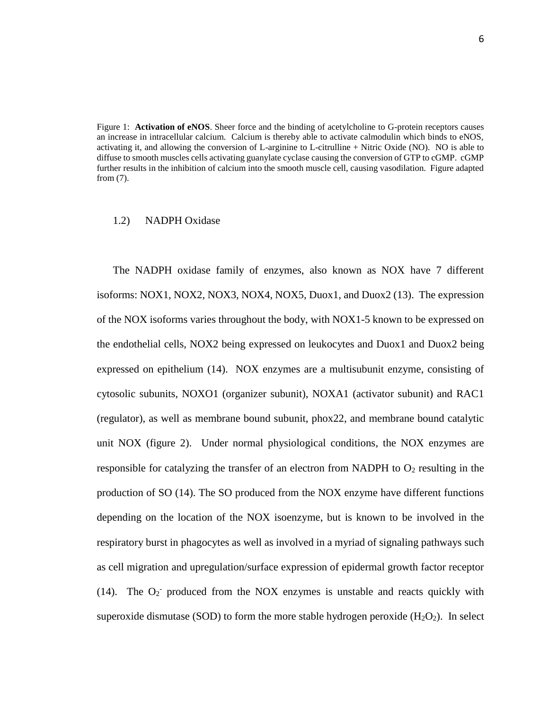Figure 1: **Activation of eNOS**. Sheer force and the binding of acetylcholine to G-protein receptors causes an increase in intracellular calcium. Calcium is thereby able to activate calmodulin which binds to eNOS, activating it, and allowing the conversion of L-arginine to L-citrulline + Nitric Oxide (NO). NO is able to diffuse to smooth muscles cells activating guanylate cyclase causing the conversion of GTP to cGMP. cGMP further results in the inhibition of calcium into the smooth muscle cell, causing vasodilation. Figure adapted from (7).

#### 1.2) NADPH Oxidase

The NADPH oxidase family of enzymes, also known as NOX have 7 different isoforms: NOX1, NOX2, NOX3, NOX4, NOX5, Duox1, and Duox2 (13). The expression of the NOX isoforms varies throughout the body, with NOX1-5 known to be expressed on the endothelial cells, NOX2 being expressed on leukocytes and Duox1 and Duox2 being expressed on epithelium (14). NOX enzymes are a multisubunit enzyme, consisting of cytosolic subunits, NOXO1 (organizer subunit), NOXA1 (activator subunit) and RAC1 (regulator), as well as membrane bound subunit, phox22, and membrane bound catalytic unit NOX (figure 2). Under normal physiological conditions, the NOX enzymes are responsible for catalyzing the transfer of an electron from NADPH to  $O<sub>2</sub>$  resulting in the production of SO (14). The SO produced from the NOX enzyme have different functions depending on the location of the NOX isoenzyme, but is known to be involved in the respiratory burst in phagocytes as well as involved in a myriad of signaling pathways such as cell migration and upregulation/surface expression of epidermal growth factor receptor (14). The  $O_2$  produced from the NOX enzymes is unstable and reacts quickly with superoxide dismutase (SOD) to form the more stable hydrogen peroxide  $(H_2O_2)$ . In select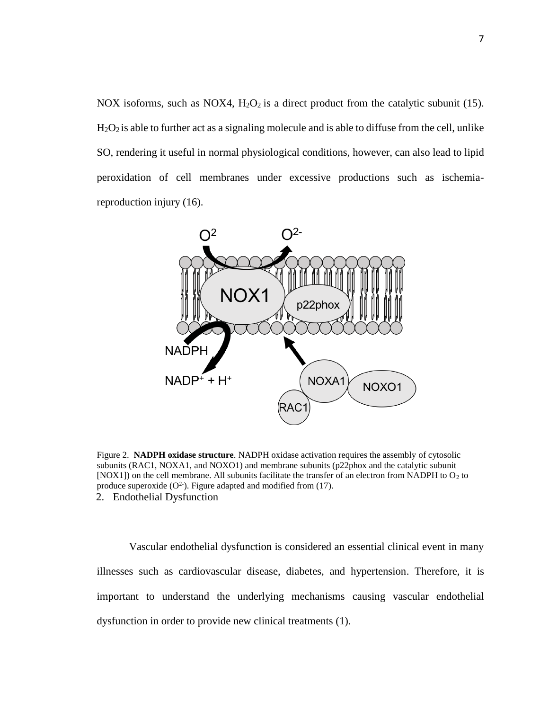NOX isoforms, such as NOX4,  $H_2O_2$  is a direct product from the catalytic subunit (15). H2O<sup>2</sup> is able to further act as a signaling molecule and is able to diffuse from the cell, unlike SO, rendering it useful in normal physiological conditions, however, can also lead to lipid peroxidation of cell membranes under excessive productions such as ischemiareproduction injury (16).



Figure 2. **NADPH oxidase structure**. NADPH oxidase activation requires the assembly of cytosolic subunits (RAC1, NOXA1, and NOXO1) and membrane subunits (p22phox and the catalytic subunit [NOX1]) on the cell membrane. All subunits facilitate the transfer of an electron from NADPH to  $O_2$  to produce superoxide  $(O<sup>2</sup>)$ . Figure adapted and modified from (17). 2. Endothelial Dysfunction

Vascular endothelial dysfunction is considered an essential clinical event in many illnesses such as cardiovascular disease, diabetes, and hypertension. Therefore, it is important to understand the underlying mechanisms causing vascular endothelial dysfunction in order to provide new clinical treatments (1).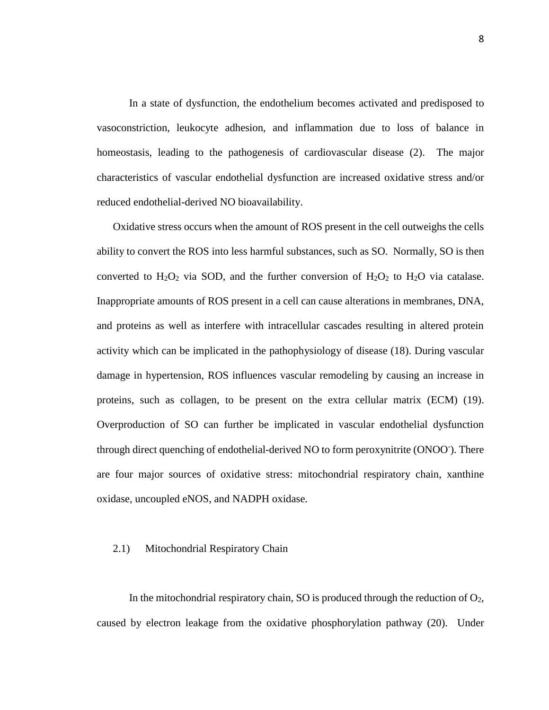In a state of dysfunction, the endothelium becomes activated and predisposed to vasoconstriction, leukocyte adhesion, and inflammation due to loss of balance in homeostasis, leading to the pathogenesis of cardiovascular disease (2). The major characteristics of vascular endothelial dysfunction are increased oxidative stress and/or reduced endothelial-derived NO bioavailability.

 Oxidative stress occurs when the amount of ROS present in the cell outweighs the cells ability to convert the ROS into less harmful substances, such as SO. Normally, SO is then converted to  $H_2O_2$  via SOD, and the further conversion of  $H_2O_2$  to  $H_2O$  via catalase. Inappropriate amounts of ROS present in a cell can cause alterations in membranes, DNA, and proteins as well as interfere with intracellular cascades resulting in altered protein activity which can be implicated in the pathophysiology of disease (18). During vascular damage in hypertension, ROS influences vascular remodeling by causing an increase in proteins, such as collagen, to be present on the extra cellular matrix (ECM) (19). Overproduction of SO can further be implicated in vascular endothelial dysfunction through direct quenching of endothelial-derived NO to form peroxynitrite (ONOO- ). There are four major sources of oxidative stress: mitochondrial respiratory chain, xanthine oxidase, uncoupled eNOS, and NADPH oxidase.

#### 2.1) Mitochondrial Respiratory Chain

In the mitochondrial respiratory chain, SO is produced through the reduction of  $O<sub>2</sub>$ , caused by electron leakage from the oxidative phosphorylation pathway (20). Under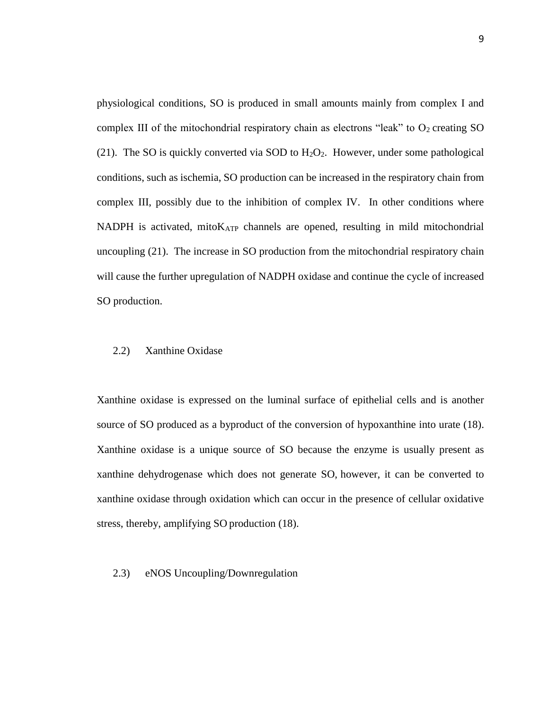physiological conditions, SO is produced in small amounts mainly from complex I and complex III of the mitochondrial respiratory chain as electrons "leak" to  $O<sub>2</sub>$  creating SO (21). The SO is quickly converted via SOD to  $H_2O_2$ . However, under some pathological conditions, such as ischemia, SO production can be increased in the respiratory chain from complex III, possibly due to the inhibition of complex IV. In other conditions where NADPH is activated, mito $K_{ATP}$  channels are opened, resulting in mild mitochondrial uncoupling (21). The increase in SO production from the mitochondrial respiratory chain will cause the further upregulation of NADPH oxidase and continue the cycle of increased SO production.

#### 2.2) Xanthine Oxidase

Xanthine oxidase is expressed on the luminal surface of epithelial cells and is another source of SO produced as a byproduct of the conversion of hypoxanthine into urate (18). Xanthine oxidase is a unique source of SO because the enzyme is usually present as xanthine dehydrogenase which does not generate SO, however, it can be converted to xanthine oxidase through oxidation which can occur in the presence of cellular oxidative stress, thereby, amplifying SO production (18).

# 2.3) eNOS Uncoupling/Downregulation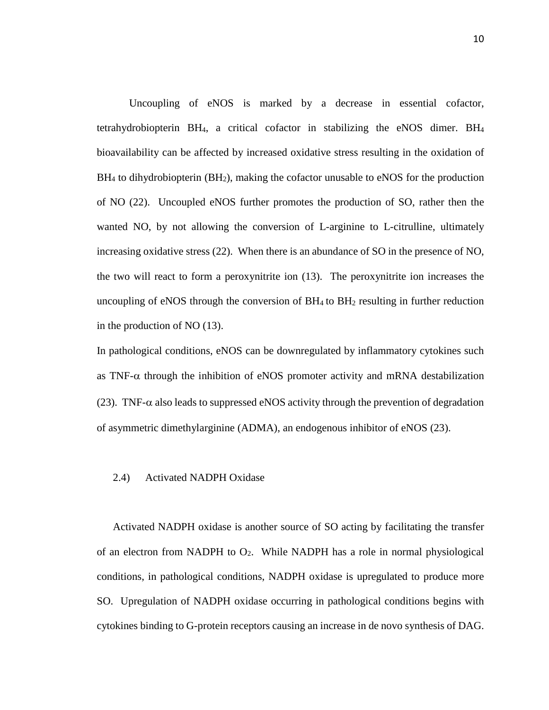Uncoupling of eNOS is marked by a decrease in essential cofactor, tetrahydrobiopterin BH4, a critical cofactor in stabilizing the eNOS dimer. BH<sup>4</sup> bioavailability can be affected by increased oxidative stress resulting in the oxidation of  $BH<sub>4</sub>$  to dihydrobiopterin ( $BH<sub>2</sub>$ ), making the cofactor unusable to eNOS for the production of NO (22). Uncoupled eNOS further promotes the production of SO, rather then the wanted NO, by not allowing the conversion of L-arginine to L-citrulline, ultimately increasing oxidative stress (22). When there is an abundance of SO in the presence of NO, the two will react to form a peroxynitrite ion (13). The peroxynitrite ion increases the uncoupling of eNOS through the conversion of  $BH<sub>4</sub>$  to  $BH<sub>2</sub>$  resulting in further reduction in the production of NO (13).

In pathological conditions, eNOS can be downregulated by inflammatory cytokines such as TNF- $\alpha$  through the inhibition of eNOS promoter activity and mRNA destabilization (23). TNF- $\alpha$  also leads to suppressed eNOS activity through the prevention of degradation of asymmetric dimethylarginine (ADMA), an endogenous inhibitor of eNOS (23).

#### 2.4) Activated NADPH Oxidase

 Activated NADPH oxidase is another source of SO acting by facilitating the transfer of an electron from NADPH to O2. While NADPH has a role in normal physiological conditions, in pathological conditions, NADPH oxidase is upregulated to produce more SO. Upregulation of NADPH oxidase occurring in pathological conditions begins with cytokines binding to G-protein receptors causing an increase in de novo synthesis of DAG.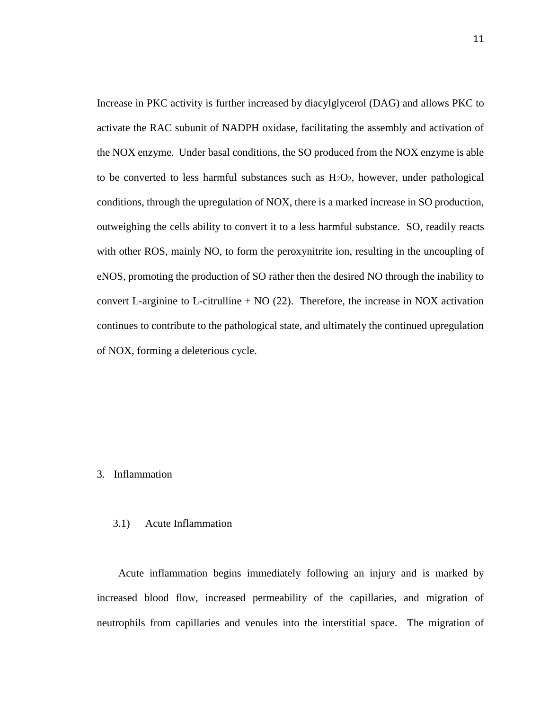Increase in PKC activity is further increased by diacylglycerol (DAG) and allows PKC to activate the RAC subunit of NADPH oxidase, facilitating the assembly and activation of the NOX enzyme. Under basal conditions, the SO produced from the NOX enzyme is able to be converted to less harmful substances such as  $H_2O_2$ , however, under pathological conditions, through the upregulation of NOX, there is a marked increase in SO production, outweighing the cells ability to convert it to a less harmful substance. SO, readily reacts with other ROS, mainly NO, to form the peroxynitrite ion, resulting in the uncoupling of eNOS, promoting the production of SO rather then the desired NO through the inability to convert L-arginine to L-citrulline  $+ NO(22)$ . Therefore, the increase in NOX activation continues to contribute to the pathological state, and ultimately the continued upregulation of NOX, forming a deleterious cycle.

# 3. Inflammation

#### 3.1) Acute Inflammation

 Acute inflammation begins immediately following an injury and is marked by increased blood flow, increased permeability of the capillaries, and migration of neutrophils from capillaries and venules into the interstitial space. The migration of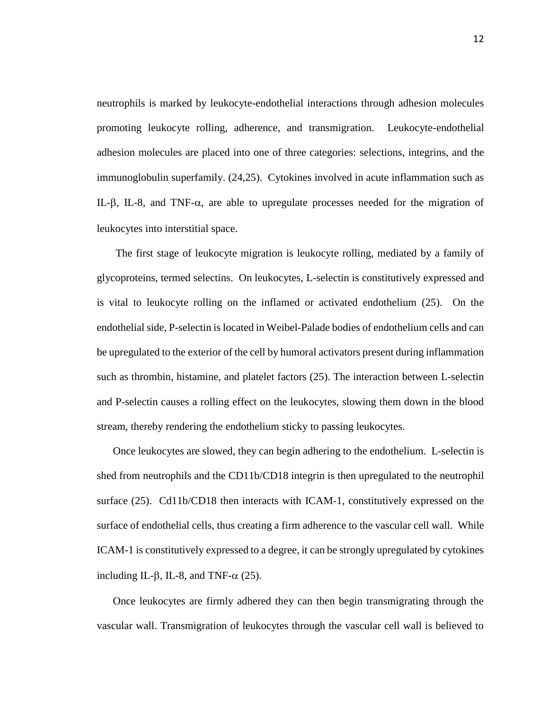neutrophils is marked by leukocyte-endothelial interactions through adhesion molecules promoting leukocyte rolling, adherence, and transmigration. Leukocyte-endothelial adhesion molecules are placed into one of three categories: selections, integrins, and the immunoglobulin superfamily. (24,25). Cytokines involved in acute inflammation such as IL- $\beta$ , IL-8, and TNF- $\alpha$ , are able to upregulate processes needed for the migration of leukocytes into interstitial space.

 The first stage of leukocyte migration is leukocyte rolling, mediated by a family of glycoproteins, termed selectins. On leukocytes, L-selectin is constitutively expressed and is vital to leukocyte rolling on the inflamed or activated endothelium (25). On the endothelial side, P-selectin is located in Weibel-Palade bodies of endothelium cells and can be upregulated to the exterior of the cell by humoral activators present during inflammation such as thrombin, histamine, and platelet factors (25). The interaction between L-selectin and P-selectin causes a rolling effect on the leukocytes, slowing them down in the blood stream, thereby rendering the endothelium sticky to passing leukocytes.

 Once leukocytes are slowed, they can begin adhering to the endothelium. L-selectin is shed from neutrophils and the CD11b/CD18 integrin is then upregulated to the neutrophil surface (25). Cd11b/CD18 then interacts with ICAM-1, constitutively expressed on the surface of endothelial cells, thus creating a firm adherence to the vascular cell wall. While ICAM-1 is constitutively expressed to a degree, it can be strongly upregulated by cytokines including IL- $\beta$ , IL-8, and TNF- $\alpha$  (25).

 Once leukocytes are firmly adhered they can then begin transmigrating through the vascular wall. Transmigration of leukocytes through the vascular cell wall is believed to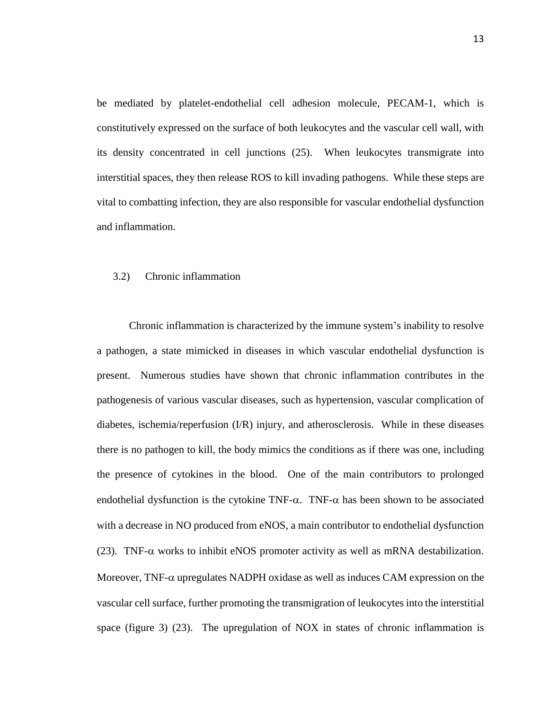be mediated by platelet-endothelial cell adhesion molecule, PECAM-1, which is constitutively expressed on the surface of both leukocytes and the vascular cell wall, with its density concentrated in cell junctions (25). When leukocytes transmigrate into interstitial spaces, they then release ROS to kill invading pathogens. While these steps are vital to combatting infection, they are also responsible for vascular endothelial dysfunction and inflammation.

# 3.2) Chronic inflammation

Chronic inflammation is characterized by the immune system's inability to resolve a pathogen, a state mimicked in diseases in which vascular endothelial dysfunction is present. Numerous studies have shown that chronic inflammation contributes in the pathogenesis of various vascular diseases, such as hypertension, vascular complication of diabetes, ischemia/reperfusion (I/R) injury, and atherosclerosis. While in these diseases there is no pathogen to kill, the body mimics the conditions as if there was one, including the presence of cytokines in the blood. One of the main contributors to prolonged endothelial dysfunction is the cytokine TNF- $\alpha$ . TNF- $\alpha$  has been shown to be associated with a decrease in NO produced from eNOS, a main contributor to endothelial dysfunction (23). TNF- $\alpha$  works to inhibit eNOS promoter activity as well as mRNA destabilization. Moreover, TNF- $\alpha$  upregulates NADPH oxidase as well as induces CAM expression on the vascular cell surface, further promoting the transmigration of leukocytes into the interstitial space (figure 3) (23). The upregulation of NOX in states of chronic inflammation is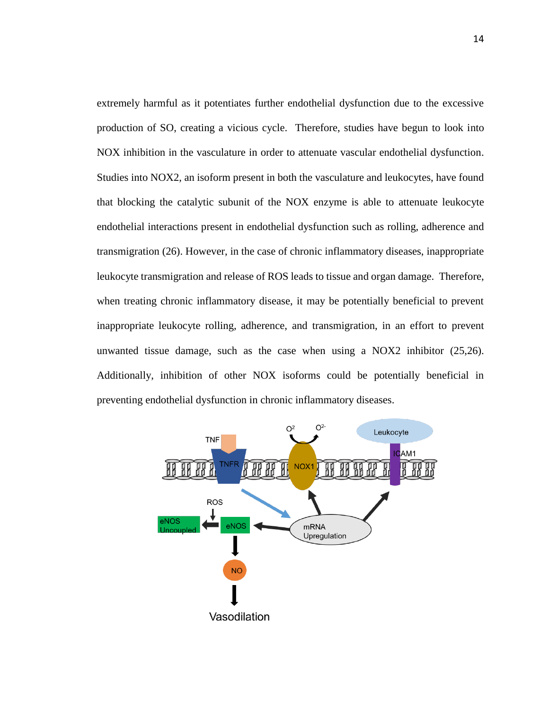extremely harmful as it potentiates further endothelial dysfunction due to the excessive production of SO, creating a vicious cycle. Therefore, studies have begun to look into NOX inhibition in the vasculature in order to attenuate vascular endothelial dysfunction. Studies into NOX2, an isoform present in both the vasculature and leukocytes, have found that blocking the catalytic subunit of the NOX enzyme is able to attenuate leukocyte endothelial interactions present in endothelial dysfunction such as rolling, adherence and transmigration (26). However, in the case of chronic inflammatory diseases, inappropriate leukocyte transmigration and release of ROS leads to tissue and organ damage. Therefore, when treating chronic inflammatory disease, it may be potentially beneficial to prevent inappropriate leukocyte rolling, adherence, and transmigration, in an effort to prevent unwanted tissue damage, such as the case when using a NOX2 inhibitor (25,26). Additionally, inhibition of other NOX isoforms could be potentially beneficial in preventing endothelial dysfunction in chronic inflammatory diseases.

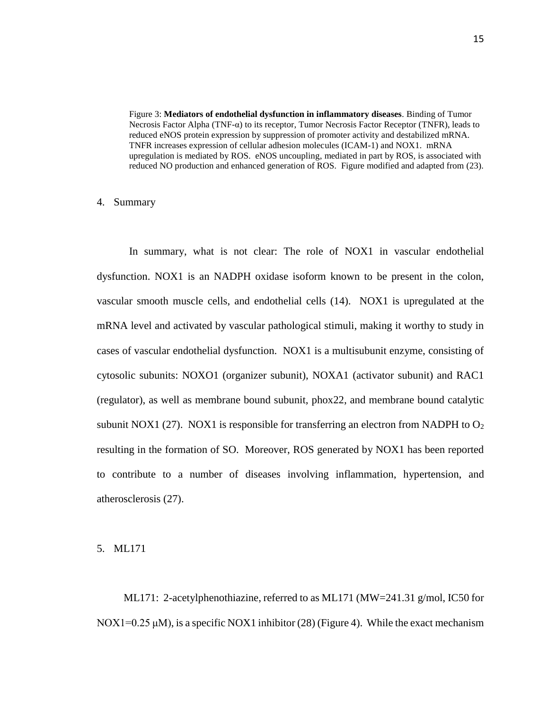Figure 3: **Mediators of endothelial dysfunction in inflammatory diseases**. Binding of Tumor Necrosis Factor Alpha (TNF-α) to its receptor, Tumor Necrosis Factor Receptor (TNFR), leads to reduced eNOS protein expression by suppression of promoter activity and destabilized mRNA. TNFR increases expression of cellular adhesion molecules (ICAM-1) and NOX1. mRNA upregulation is mediated by ROS. eNOS uncoupling, mediated in part by ROS, is associated with reduced NO production and enhanced generation of ROS. Figure modified and adapted from (23).

#### 4. Summary

In summary, what is not clear: The role of NOX1 in vascular endothelial dysfunction. NOX1 is an NADPH oxidase isoform known to be present in the colon, vascular smooth muscle cells, and endothelial cells (14). NOX1 is upregulated at the mRNA level and activated by vascular pathological stimuli, making it worthy to study in cases of vascular endothelial dysfunction. NOX1 is a multisubunit enzyme, consisting of cytosolic subunits: NOXO1 (organizer subunit), NOXA1 (activator subunit) and RAC1 (regulator), as well as membrane bound subunit, phox22, and membrane bound catalytic subunit NOX1 (27). NOX1 is responsible for transferring an electron from NADPH to  $O<sub>2</sub>$ resulting in the formation of SO. Moreover, ROS generated by NOX1 has been reported to contribute to a number of diseases involving inflammation, hypertension, and atherosclerosis (27).

# 5. ML171

 ML171: 2-acetylphenothiazine, referred to as ML171 (MW=241.31 g/mol, IC50 for NOX1=0.25  $\mu$ M), is a specific NOX1 inhibitor (28) (Figure 4). While the exact mechanism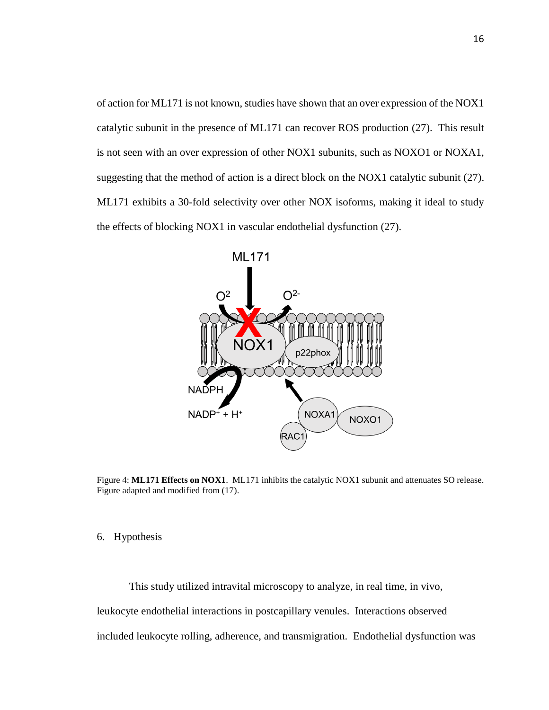of action for ML171 is not known, studies have shown that an over expression of the NOX1 catalytic subunit in the presence of ML171 can recover ROS production (27). This result is not seen with an over expression of other NOX1 subunits, such as NOXO1 or NOXA1, suggesting that the method of action is a direct block on the NOX1 catalytic subunit (27). ML171 exhibits a 30-fold selectivity over other NOX isoforms, making it ideal to study the effects of blocking NOX1 in vascular endothelial dysfunction (27).



Figure 4: **ML171 Effects on NOX1**. ML171 inhibits the catalytic NOX1 subunit and attenuates SO release. Figure adapted and modified from (17).

# 6. Hypothesis

This study utilized intravital microscopy to analyze, in real time, in vivo, leukocyte endothelial interactions in postcapillary venules. Interactions observed included leukocyte rolling, adherence, and transmigration. Endothelial dysfunction was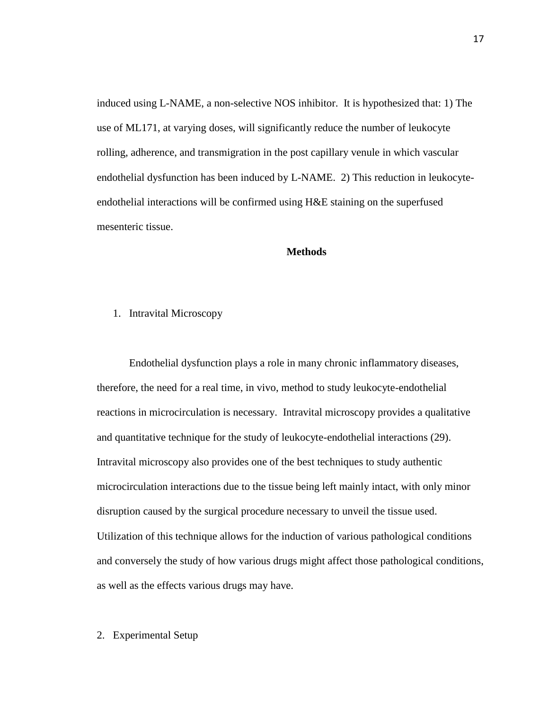induced using L-NAME, a non-selective NOS inhibitor. It is hypothesized that: 1) The use of ML171, at varying doses, will significantly reduce the number of leukocyte rolling, adherence, and transmigration in the post capillary venule in which vascular endothelial dysfunction has been induced by L-NAME. 2) This reduction in leukocyteendothelial interactions will be confirmed using H&E staining on the superfused mesenteric tissue.

# **Methods**

# 1. Intravital Microscopy

Endothelial dysfunction plays a role in many chronic inflammatory diseases, therefore, the need for a real time, in vivo, method to study leukocyte-endothelial reactions in microcirculation is necessary. Intravital microscopy provides a qualitative and quantitative technique for the study of leukocyte-endothelial interactions (29). Intravital microscopy also provides one of the best techniques to study authentic microcirculation interactions due to the tissue being left mainly intact, with only minor disruption caused by the surgical procedure necessary to unveil the tissue used. Utilization of this technique allows for the induction of various pathological conditions and conversely the study of how various drugs might affect those pathological conditions, as well as the effects various drugs may have.

# 2. Experimental Setup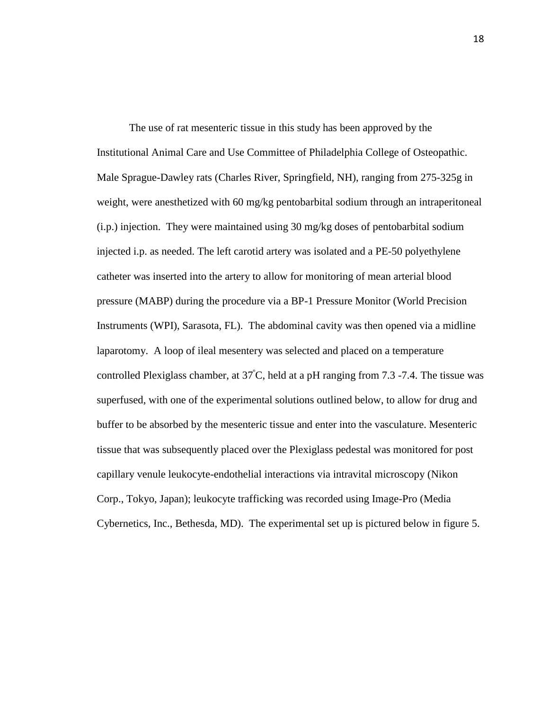The use of rat mesenteric tissue in this study has been approved by the Institutional Animal Care and Use Committee of Philadelphia College of Osteopathic. Male Sprague-Dawley rats (Charles River, Springfield, NH), ranging from 275-325g in weight, were anesthetized with 60 mg/kg pentobarbital sodium through an intraperitoneal (i.p.) injection. They were maintained using 30 mg/kg doses of pentobarbital sodium injected i.p. as needed. The left carotid artery was isolated and a PE-50 polyethylene catheter was inserted into the artery to allow for monitoring of mean arterial blood pressure (MABP) during the procedure via a BP-1 Pressure Monitor (World Precision Instruments (WPI), Sarasota, FL). The abdominal cavity was then opened via a midline laparotomy. A loop of ileal mesentery was selected and placed on a temperature controlled Plexiglass chamber, at 37<sup>º</sup>C, held at a pH ranging from 7.3 -7.4. The tissue was superfused, with one of the experimental solutions outlined below, to allow for drug and buffer to be absorbed by the mesenteric tissue and enter into the vasculature. Mesenteric tissue that was subsequently placed over the Plexiglass pedestal was monitored for post capillary venule leukocyte-endothelial interactions via intravital microscopy (Nikon Corp., Tokyo, Japan); leukocyte trafficking was recorded using Image-Pro (Media Cybernetics, Inc., Bethesda, MD). The experimental set up is pictured below in figure 5.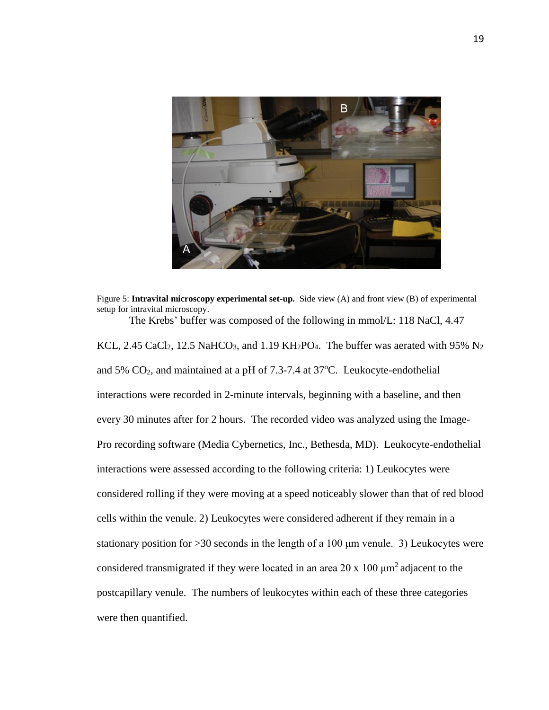

Figure 5: **Intravital microscopy experimental set-up.** Side view (A) and front view (B) of experimental setup for intravital microscopy. The Krebs' buffer was composed of the following in mmol/L: 118 NaCl, 4.47

KCL, 2.45 CaCl<sub>2</sub>, 12.5 NaHCO<sub>3</sub>, and 1.19 KH<sub>2</sub>PO<sub>4</sub>. The buffer was aerated with 95% N<sub>2</sub> and 5%  $CO<sub>2</sub>$ , and maintained at a pH of 7.3-7.4 at 37 $^{\circ}$ C. Leukocyte-endothelial interactions were recorded in 2-minute intervals, beginning with a baseline, and then every 30 minutes after for 2 hours. The recorded video was analyzed using the Image-Pro recording software (Media Cybernetics, Inc., Bethesda, MD). Leukocyte-endothelial interactions were assessed according to the following criteria: 1) Leukocytes were considered rolling if they were moving at a speed noticeably slower than that of red blood cells within the venule. 2) Leukocytes were considered adherent if they remain in a stationary position for  $>30$  seconds in the length of a 100  $\mu$ m venule. 3) Leukocytes were considered transmigrated if they were located in an area 20 x 100  $\mu$ m<sup>2</sup> adjacent to the postcapillary venule. The numbers of leukocytes within each of these three categories were then quantified.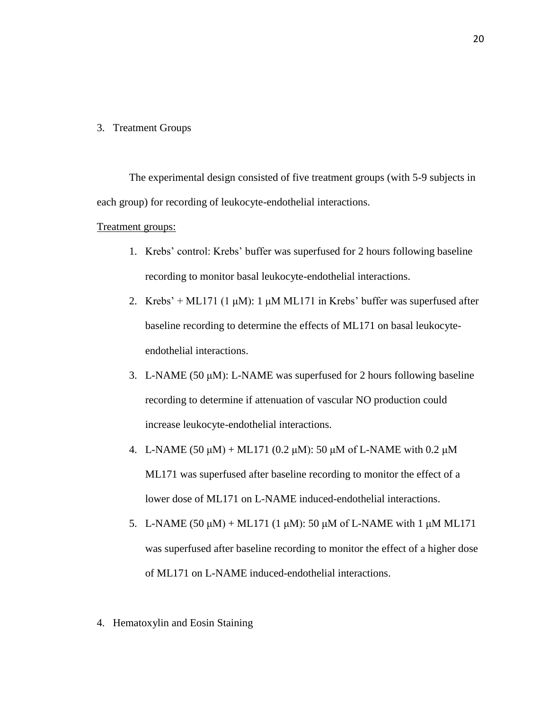# 3. Treatment Groups

The experimental design consisted of five treatment groups (with 5-9 subjects in each group) for recording of leukocyte-endothelial interactions.

#### Treatment groups:

- 1. Krebs' control: Krebs' buffer was superfused for 2 hours following baseline recording to monitor basal leukocyte-endothelial interactions.
- 2. Krebs' + ML171 (1 μM): 1 μM ML171 in Krebs' buffer was superfused after baseline recording to determine the effects of ML171 on basal leukocyteendothelial interactions.
- 3. L-NAME (50 μM): L-NAME was superfused for 2 hours following baseline recording to determine if attenuation of vascular NO production could increase leukocyte-endothelial interactions.
- 4. L-NAME (50  $\mu$ M) + ML171 (0.2  $\mu$ M): 50  $\mu$ M of L-NAME with 0.2  $\mu$ M ML171 was superfused after baseline recording to monitor the effect of a lower dose of ML171 on L-NAME induced-endothelial interactions.
- 5. L-NAME (50  $\mu$ M) + ML171 (1  $\mu$ M): 50  $\mu$ M of L-NAME with 1  $\mu$ M ML171 was superfused after baseline recording to monitor the effect of a higher dose of ML171 on L-NAME induced-endothelial interactions.
- 4. Hematoxylin and Eosin Staining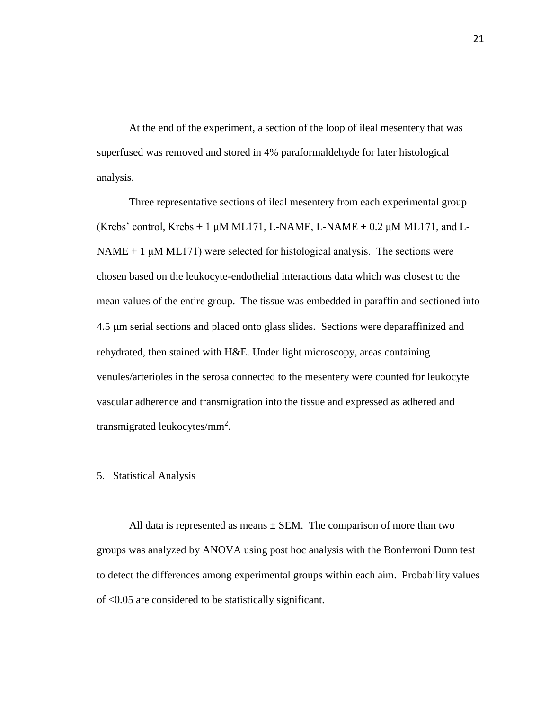At the end of the experiment, a section of the loop of ileal mesentery that was superfused was removed and stored in 4% paraformaldehyde for later histological analysis.

Three representative sections of ileal mesentery from each experimental group (Krebs' control, Krebs + 1  $\mu$ M ML171, L-NAME, L-NAME + 0.2  $\mu$ M ML171, and L- $NAME + 1 \mu M ML171$ ) were selected for histological analysis. The sections were chosen based on the leukocyte-endothelial interactions data which was closest to the mean values of the entire group. The tissue was embedded in paraffin and sectioned into 4.5 µm serial sections and placed onto glass slides. Sections were deparaffinized and rehydrated, then stained with H&E. Under light microscopy, areas containing venules/arterioles in the serosa connected to the mesentery were counted for leukocyte vascular adherence and transmigration into the tissue and expressed as adhered and transmigrated leukocytes/mm<sup>2</sup>.

#### 5. Statistical Analysis

All data is represented as means  $\pm$  SEM. The comparison of more than two groups was analyzed by ANOVA using post hoc analysis with the Bonferroni Dunn test to detect the differences among experimental groups within each aim. Probability values of <0.05 are considered to be statistically significant.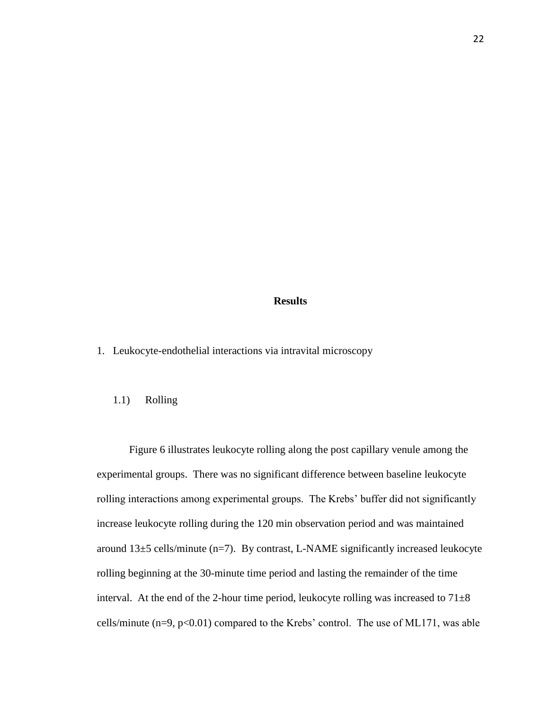# **Results**

1. Leukocyte-endothelial interactions via intravital microscopy

# 1.1) Rolling

Figure 6 illustrates leukocyte rolling along the post capillary venule among the experimental groups. There was no significant difference between baseline leukocyte rolling interactions among experimental groups. The Krebs' buffer did not significantly increase leukocyte rolling during the 120 min observation period and was maintained around 13±5 cells/minute (n=7). By contrast, L-NAME significantly increased leukocyte rolling beginning at the 30-minute time period and lasting the remainder of the time interval. At the end of the 2-hour time period, leukocyte rolling was increased to  $71\pm8$ cells/minute  $(n=9, p<0.01)$  compared to the Krebs' control. The use of ML171, was able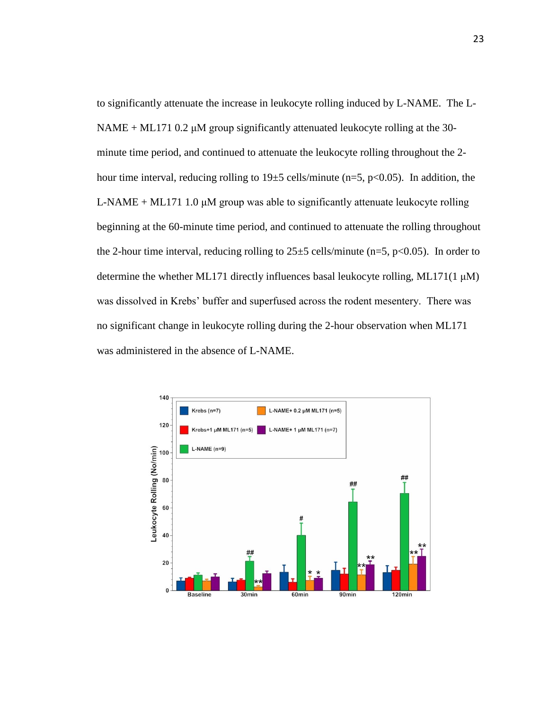to significantly attenuate the increase in leukocyte rolling induced by L-NAME. The L-NAME + ML171 0.2 μM group significantly attenuated leukocyte rolling at the 30 minute time period, and continued to attenuate the leukocyte rolling throughout the 2 hour time interval, reducing rolling to  $19\pm 5$  cells/minute (n=5, p<0.05). In addition, the L-NAME + ML171 1.0  $\mu$ M group was able to significantly attenuate leukocyte rolling beginning at the 60-minute time period, and continued to attenuate the rolling throughout the 2-hour time interval, reducing rolling to  $25\pm5$  cells/minute (n=5, p<0.05). In order to determine the whether ML171 directly influences basal leukocyte rolling, ML171(1 μM) was dissolved in Krebs' buffer and superfused across the rodent mesentery. There was no significant change in leukocyte rolling during the 2-hour observation when ML171 was administered in the absence of L-NAME.

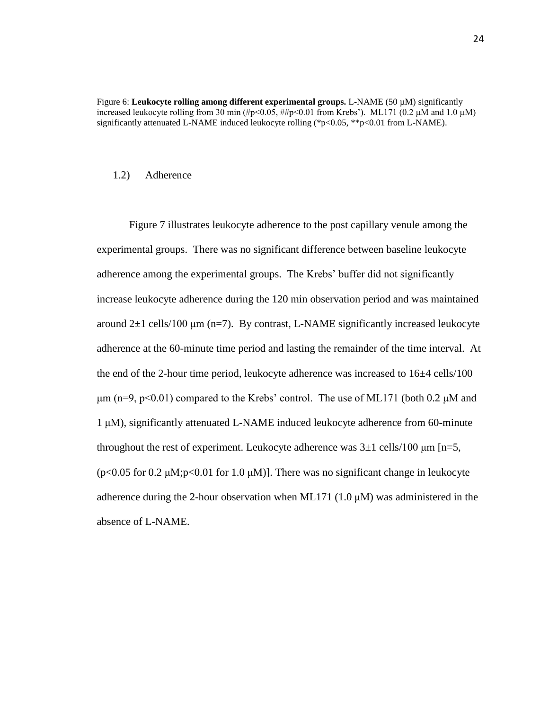Figure 6: **Leukocyte rolling among different experimental groups.** L-NAME (50 µM) significantly increased leukocyte rolling from 30 min (#p<0.05, ##p<0.01 from Krebs'). ML171 (0.2  $\mu$ M and 1.0  $\mu$ M) significantly attenuated L-NAME induced leukocyte rolling (\*p<0.05, \*\*p<0.01 from L-NAME).

#### 1.2) Adherence

Figure 7 illustrates leukocyte adherence to the post capillary venule among the experimental groups. There was no significant difference between baseline leukocyte adherence among the experimental groups. The Krebs' buffer did not significantly increase leukocyte adherence during the 120 min observation period and was maintained around  $2\pm 1$  cells/100 μm (n=7). By contrast, L-NAME significantly increased leukocyte adherence at the 60-minute time period and lasting the remainder of the time interval. At the end of the 2-hour time period, leukocyte adherence was increased to  $16\pm4$  cells/100  $\mu$ m (n=9, p<0.01) compared to the Krebs' control. The use of ML171 (both 0.2  $\mu$ M and 1 μM), significantly attenuated L-NAME induced leukocyte adherence from 60-minute throughout the rest of experiment. Leukocyte adherence was  $3\pm 1$  cells/100  $\mu$ m [n=5, ( $p$ <0.05 for 0.2  $\mu$ M; $p$ <0.01 for 1.0  $\mu$ M)]. There was no significant change in leukocyte adherence during the 2-hour observation when ML171 (1.0  $\mu$ M) was administered in the absence of L-NAME.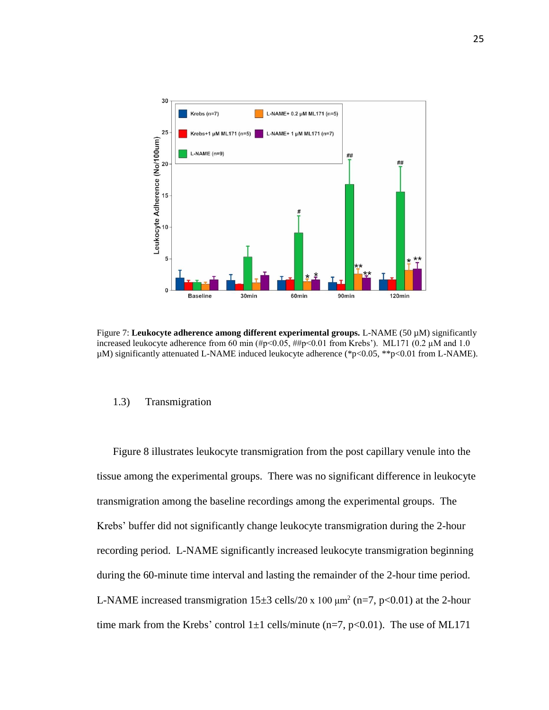

Figure 7: **Leukocyte adherence among different experimental groups.** L-NAME (50 µM) significantly increased leukocyte adherence from 60 min  $(\#p<0.05, \# \#p<0.01$  from Krebs'). ML171 (0.2  $\mu$ M and 1.0 µM) significantly attenuated L-NAME induced leukocyte adherence (\*p<0.05, \*\*p<0.01 from L-NAME).

# 1.3) Transmigration

 Figure 8 illustrates leukocyte transmigration from the post capillary venule into the tissue among the experimental groups. There was no significant difference in leukocyte transmigration among the baseline recordings among the experimental groups. The Krebs' buffer did not significantly change leukocyte transmigration during the 2-hour recording period. L-NAME significantly increased leukocyte transmigration beginning during the 60-minute time interval and lasting the remainder of the 2-hour time period. L-NAME increased transmigration  $15\pm3$  cells/20 x 100  $\mu$ m<sup>2</sup> (n=7, p<0.01) at the 2-hour time mark from the Krebs' control  $1\pm 1$  cells/minute (n=7, p<0.01). The use of ML171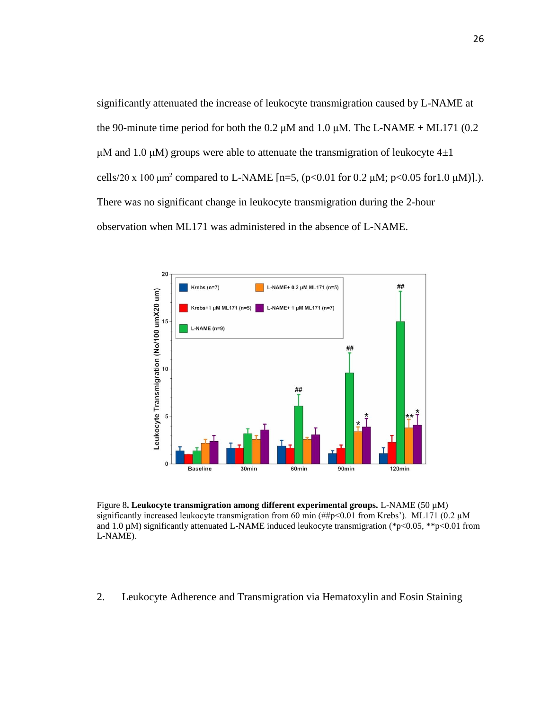significantly attenuated the increase of leukocyte transmigration caused by L-NAME at the 90-minute time period for both the 0.2  $\mu$ M and 1.0  $\mu$ M. The L-NAME + ML171 (0.2) μM and 1.0 μM) groups were able to attenuate the transmigration of leukocyte  $4\pm1$ cells/20 x 100 μm<sup>2</sup> compared to L-NAME [n=5, (p<0.01 for 0.2 μM; p<0.05 for 1.0 μM)].). There was no significant change in leukocyte transmigration during the 2-hour observation when ML171 was administered in the absence of L-NAME.



Figure 8**. Leukocyte transmigration among different experimental groups.** L-NAME (50 µM) significantly increased leukocyte transmigration from 60 min (##p<0.01 from Krebs'). ML171 (0.2  $\mu$ M and 1.0  $\mu$ M) significantly attenuated L-NAME induced leukocyte transmigration (\*p<0.05, \*\*p<0.01 from L-NAME).

2. Leukocyte Adherence and Transmigration via Hematoxylin and Eosin Staining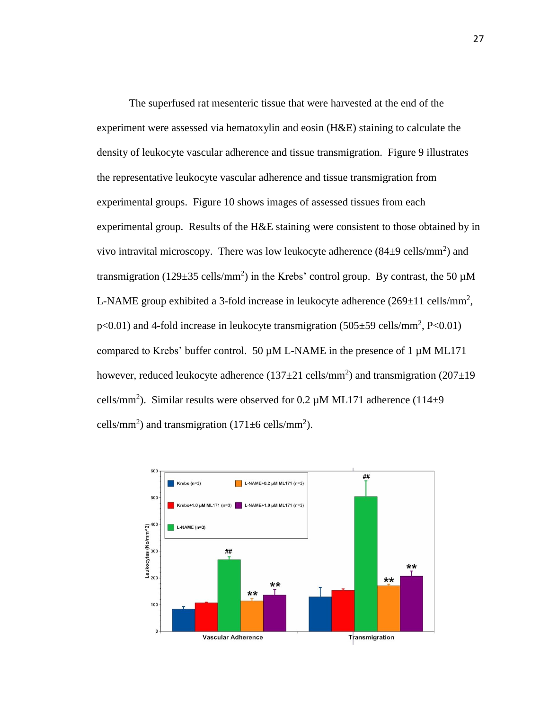The superfused rat mesenteric tissue that were harvested at the end of the experiment were assessed via hematoxylin and eosin (H&E) staining to calculate the density of leukocyte vascular adherence and tissue transmigration. Figure 9 illustrates the representative leukocyte vascular adherence and tissue transmigration from experimental groups. Figure 10 shows images of assessed tissues from each experimental group. Results of the H&E staining were consistent to those obtained by in vivo intravital microscopy. There was low leukocyte adherence  $(84\pm9 \text{ cells/mm}^2)$  and transmigration (129 $\pm$ 35 cells/mm<sup>2</sup>) in the Krebs' control group. By contrast, the 50  $\mu$ M L-NAME group exhibited a 3-fold increase in leukocyte adherence  $(269 \pm 11 \text{ cells/mm}^2,$  $p<0.01$ ) and 4-fold increase in leukocyte transmigration (505 $\pm$ 59 cells/mm<sup>2</sup>, P<0.01) compared to Krebs' buffer control. 50  $\mu$ M L-NAME in the presence of 1  $\mu$ M ML171 however, reduced leukocyte adherence  $(137 \pm 21 \text{ cells/mm}^2)$  and transmigration  $(207 \pm 19 \text{ s})$ cells/mm<sup>2</sup>). Similar results were observed for 0.2  $\mu$ M ML171 adherence (114 $\pm$ 9 cells/mm<sup>2</sup>) and transmigration  $(171 \pm 6 \text{ cells/mm}^2)$ .

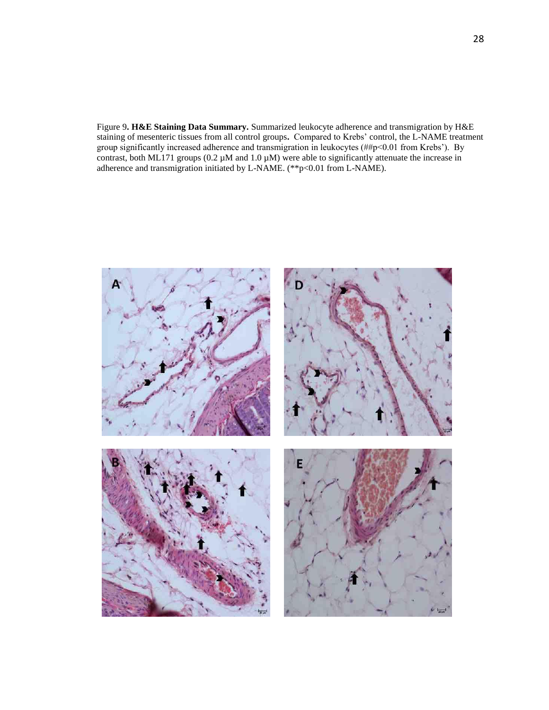Figure 9**. H&E Staining Data Summary.** Summarized leukocyte adherence and transmigration by H&E staining of mesenteric tissues from all control groups**.** Compared to Krebs' control, the L-NAME treatment group significantly increased adherence and transmigration in leukocytes (##p<0.01 from Krebs'). By contrast, both ML171 groups  $(0.2 \mu M$  and  $1.0 \mu M)$  were able to significantly attenuate the increase in adherence and transmigration initiated by L-NAME. (\*\*p<0.01 from L-NAME).

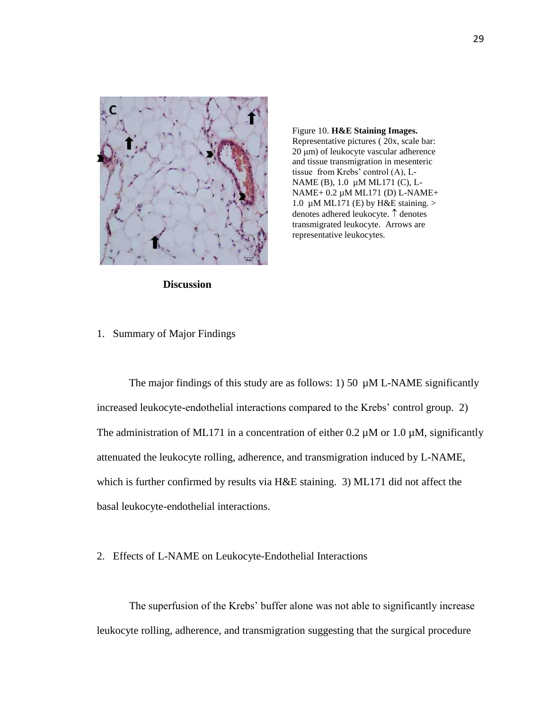

Figure 10. **H&E Staining Images.**  Representative pictures ( 20x, scale bar: 20 μm) of leukocyte vascular adherence and tissue transmigration in mesenteric tissue from Krebs' control (A), L-NAME (B), 1.0 µM ML171 (C), L-NAME+ 0.2 µM ML171 (D) L-NAME+ 1.0  $\mu$ M ML171 (E) by H&E staining. > denotes adhered leukocyte.  $\uparrow$  denotes transmigrated leukocyte. Arrows are representative leukocytes.

**Discussion**

1. Summary of Major Findings

The major findings of this study are as follows: 1) 50  $\mu$ M L-NAME significantly increased leukocyte-endothelial interactions compared to the Krebs' control group. 2) The administration of ML171 in a concentration of either  $0.2 \mu M$  or  $1.0 \mu M$ , significantly attenuated the leukocyte rolling, adherence, and transmigration induced by L-NAME, which is further confirmed by results via H&E staining. 3) ML171 did not affect the basal leukocyte-endothelial interactions.

2. Effects of L-NAME on Leukocyte-Endothelial Interactions

The superfusion of the Krebs' buffer alone was not able to significantly increase leukocyte rolling, adherence, and transmigration suggesting that the surgical procedure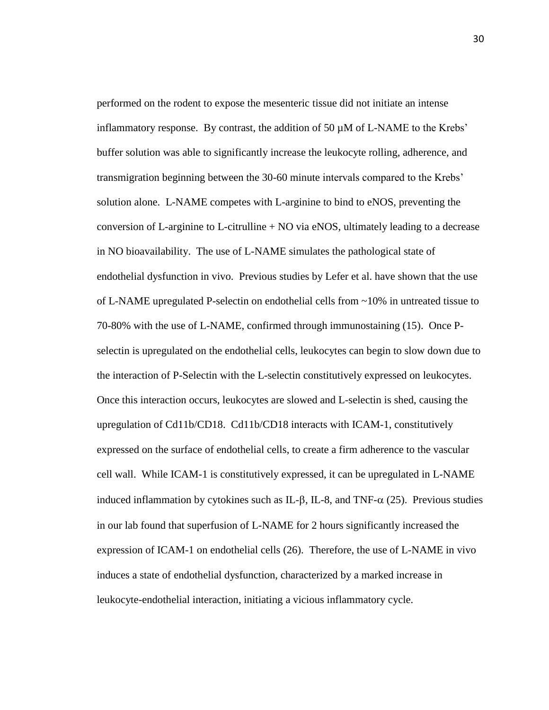performed on the rodent to expose the mesenteric tissue did not initiate an intense inflammatory response. By contrast, the addition of 50 µM of L-NAME to the Krebs' buffer solution was able to significantly increase the leukocyte rolling, adherence, and transmigration beginning between the 30-60 minute intervals compared to the Krebs' solution alone. L-NAME competes with L-arginine to bind to eNOS, preventing the conversion of L-arginine to L-citrulline  $+$  NO via eNOS, ultimately leading to a decrease in NO bioavailability. The use of L-NAME simulates the pathological state of endothelial dysfunction in vivo. Previous studies by Lefer et al. have shown that the use of L-NAME upregulated P-selectin on endothelial cells from ~10% in untreated tissue to 70-80% with the use of L-NAME, confirmed through immunostaining (15). Once Pselectin is upregulated on the endothelial cells, leukocytes can begin to slow down due to the interaction of P-Selectin with the L-selectin constitutively expressed on leukocytes. Once this interaction occurs, leukocytes are slowed and L-selectin is shed, causing the upregulation of Cd11b/CD18. Cd11b/CD18 interacts with ICAM-1, constitutively expressed on the surface of endothelial cells, to create a firm adherence to the vascular cell wall. While ICAM-1 is constitutively expressed, it can be upregulated in L-NAME induced inflammation by cytokines such as IL- $\beta$ , IL-8, and TNF- $\alpha$  (25). Previous studies in our lab found that superfusion of L-NAME for 2 hours significantly increased the expression of ICAM-1 on endothelial cells (26). Therefore, the use of L-NAME in vivo induces a state of endothelial dysfunction, characterized by a marked increase in leukocyte-endothelial interaction, initiating a vicious inflammatory cycle.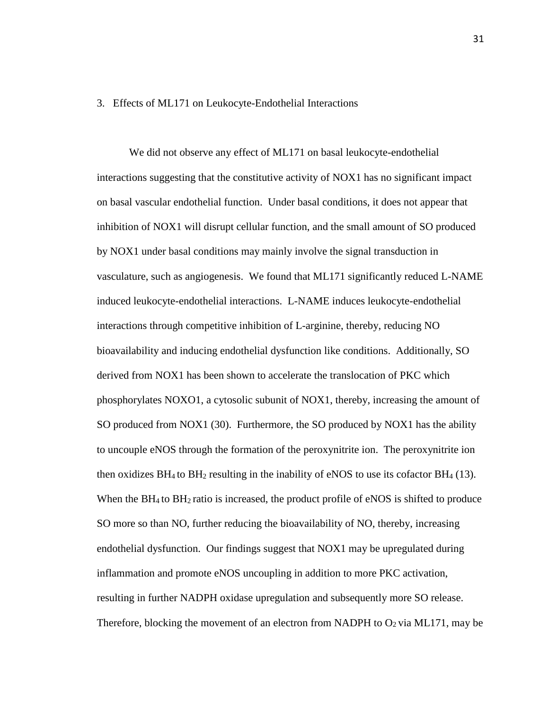#### 3. Effects of ML171 on Leukocyte-Endothelial Interactions

We did not observe any effect of ML171 on basal leukocyte-endothelial interactions suggesting that the constitutive activity of NOX1 has no significant impact on basal vascular endothelial function. Under basal conditions, it does not appear that inhibition of NOX1 will disrupt cellular function, and the small amount of SO produced by NOX1 under basal conditions may mainly involve the signal transduction in vasculature, such as angiogenesis. We found that ML171 significantly reduced L-NAME induced leukocyte-endothelial interactions. L-NAME induces leukocyte-endothelial interactions through competitive inhibition of L-arginine, thereby, reducing NO bioavailability and inducing endothelial dysfunction like conditions. Additionally, SO derived from NOX1 has been shown to accelerate the translocation of PKC which phosphorylates NOXO1, a cytosolic subunit of NOX1, thereby, increasing the amount of SO produced from NOX1 (30). Furthermore, the SO produced by NOX1 has the ability to uncouple eNOS through the formation of the peroxynitrite ion. The peroxynitrite ion then oxidizes  $BH_4$  to  $BH_2$  resulting in the inability of eNOS to use its cofactor  $BH_4$  (13). When the BH<sub>4</sub> to BH<sub>2</sub> ratio is increased, the product profile of eNOS is shifted to produce SO more so than NO, further reducing the bioavailability of NO, thereby, increasing endothelial dysfunction. Our findings suggest that NOX1 may be upregulated during inflammation and promote eNOS uncoupling in addition to more PKC activation, resulting in further NADPH oxidase upregulation and subsequently more SO release. Therefore, blocking the movement of an electron from NADPH to  $O_2$  via ML171, may be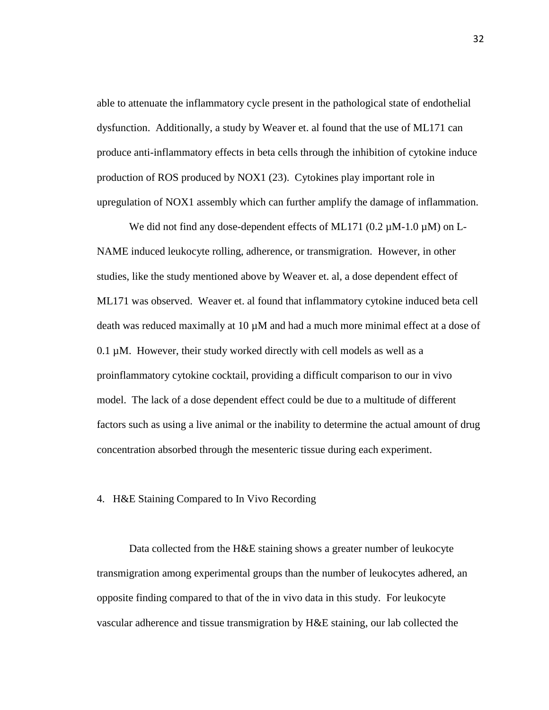able to attenuate the inflammatory cycle present in the pathological state of endothelial dysfunction. Additionally, a study by Weaver et. al found that the use of ML171 can produce anti-inflammatory effects in beta cells through the inhibition of cytokine induce production of ROS produced by NOX1 (23). Cytokines play important role in upregulation of NOX1 assembly which can further amplify the damage of inflammation.

We did not find any dose-dependent effects of ML171 (0.2  $\mu$ M-1.0  $\mu$ M) on L-NAME induced leukocyte rolling, adherence, or transmigration. However, in other studies, like the study mentioned above by Weaver et. al, a dose dependent effect of ML171 was observed. Weaver et. al found that inflammatory cytokine induced beta cell death was reduced maximally at 10 µM and had a much more minimal effect at a dose of 0.1 µM. However, their study worked directly with cell models as well as a proinflammatory cytokine cocktail, providing a difficult comparison to our in vivo model. The lack of a dose dependent effect could be due to a multitude of different factors such as using a live animal or the inability to determine the actual amount of drug concentration absorbed through the mesenteric tissue during each experiment.

# 4. H&E Staining Compared to In Vivo Recording

Data collected from the H&E staining shows a greater number of leukocyte transmigration among experimental groups than the number of leukocytes adhered, an opposite finding compared to that of the in vivo data in this study. For leukocyte vascular adherence and tissue transmigration by H&E staining, our lab collected the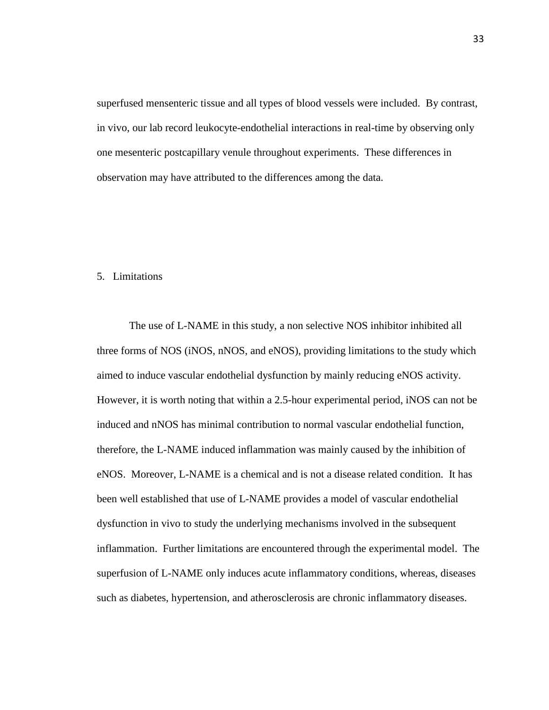superfused mensenteric tissue and all types of blood vessels were included. By contrast, in vivo, our lab record leukocyte-endothelial interactions in real-time by observing only one mesenteric postcapillary venule throughout experiments. These differences in observation may have attributed to the differences among the data.

# 5. Limitations

The use of L-NAME in this study, a non selective NOS inhibitor inhibited all three forms of NOS (iNOS, nNOS, and eNOS), providing limitations to the study which aimed to induce vascular endothelial dysfunction by mainly reducing eNOS activity. However, it is worth noting that within a 2.5-hour experimental period, iNOS can not be induced and nNOS has minimal contribution to normal vascular endothelial function, therefore, the L-NAME induced inflammation was mainly caused by the inhibition of eNOS. Moreover, L-NAME is a chemical and is not a disease related condition. It has been well established that use of L-NAME provides a model of vascular endothelial dysfunction in vivo to study the underlying mechanisms involved in the subsequent inflammation. Further limitations are encountered through the experimental model. The superfusion of L-NAME only induces acute inflammatory conditions, whereas, diseases such as diabetes, hypertension, and atherosclerosis are chronic inflammatory diseases.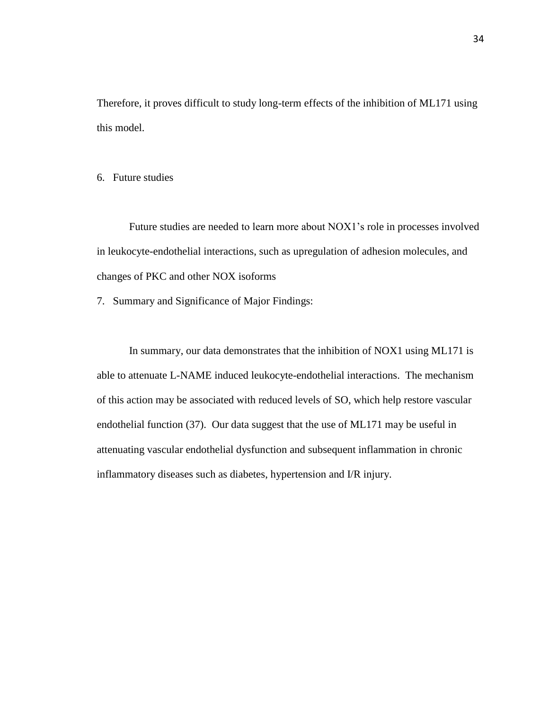Therefore, it proves difficult to study long-term effects of the inhibition of ML171 using this model.

6. Future studies

Future studies are needed to learn more about NOX1's role in processes involved in leukocyte-endothelial interactions, such as upregulation of adhesion molecules, and changes of PKC and other NOX isoforms

7. Summary and Significance of Major Findings:

In summary, our data demonstrates that the inhibition of NOX1 using ML171 is able to attenuate L-NAME induced leukocyte-endothelial interactions. The mechanism of this action may be associated with reduced levels of SO, which help restore vascular endothelial function (37). Our data suggest that the use of ML171 may be useful in attenuating vascular endothelial dysfunction and subsequent inflammation in chronic inflammatory diseases such as diabetes, hypertension and I/R injury.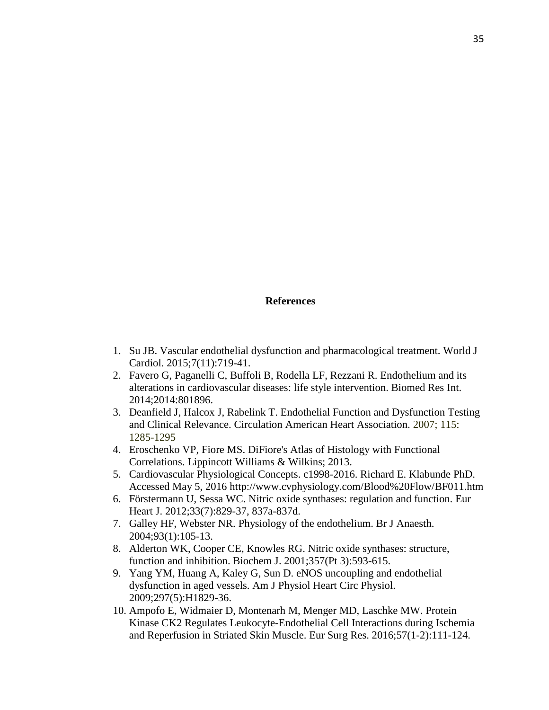#### **References**

- 1. Su JB. Vascular endothelial dysfunction and pharmacological treatment. World J Cardiol. 2015;7(11):719-41.
- 2. Favero G, Paganelli C, Buffoli B, Rodella LF, Rezzani R. Endothelium and its alterations in cardiovascular diseases: life style intervention. Biomed Res Int. 2014;2014:801896.
- 3. Deanfield J, Halcox J, Rabelink T. Endothelial Function and Dysfunction Testing and Clinical Relevance. Circulation American Heart Association. 2007; 115: 1285-1295
- 4. Eroschenko VP, Fiore MS. DiFiore's Atlas of Histology with Functional Correlations. Lippincott Williams & Wilkins; 2013.
- 5. Cardiovascular Physiological Concepts. c1998-2016. Richard E. Klabunde PhD. Accessed May 5, 2016 http://www.cvphysiology.com/Blood%20Flow/BF011.htm
- 6. Förstermann U, Sessa WC. Nitric oxide synthases: regulation and function. Eur Heart J. 2012;33(7):829-37, 837a-837d.
- 7. Galley HF, Webster NR. Physiology of the endothelium. Br J Anaesth. 2004;93(1):105-13.
- 8. Alderton WK, Cooper CE, Knowles RG. Nitric oxide synthases: structure, function and inhibition. Biochem J. 2001;357(Pt 3):593-615.
- 9. Yang YM, Huang A, Kaley G, Sun D. eNOS uncoupling and endothelial dysfunction in aged vessels. Am J Physiol Heart Circ Physiol. 2009;297(5):H1829-36.
- 10. Ampofo E, Widmaier D, Montenarh M, Menger MD, Laschke MW. Protein Kinase CK2 Regulates Leukocyte-Endothelial Cell Interactions during Ischemia and Reperfusion in Striated Skin Muscle. Eur Surg Res. 2016;57(1-2):111-124.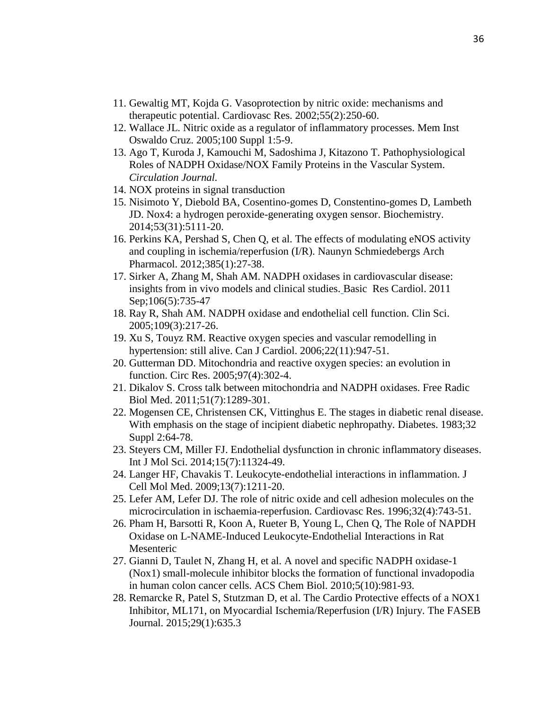- 11. Gewaltig MT, Kojda G. Vasoprotection by nitric oxide: mechanisms and therapeutic potential. Cardiovasc Res. 2002;55(2):250-60.
- 12. Wallace JL. Nitric oxide as a regulator of inflammatory processes. Mem Inst Oswaldo Cruz. 2005;100 Suppl 1:5-9.
- 13. Ago T, Kuroda J, Kamouchi M, Sadoshima J, Kitazono T. Pathophysiological Roles of NADPH Oxidase/NOX Family Proteins in the Vascular System. *Circulation Journal.*
- 14. NOX proteins in signal transduction
- 15. Nisimoto Y, Diebold BA, Cosentino-gomes D, Constentino-gomes D, Lambeth JD. Nox4: a hydrogen peroxide-generating oxygen sensor. Biochemistry. 2014;53(31):5111-20.
- 16. Perkins KA, Pershad S, Chen Q, et al. The effects of modulating eNOS activity and coupling in ischemia/reperfusion (I/R). Naunyn Schmiedebergs Arch Pharmacol. 2012;385(1):27-38.
- 17. Sirker A, Zhang M, Shah AM. NADPH oxidases in cardiovascular disease: insights from in vivo models and clinical studies[.](http://www.ncbi.nlm.nih.gov/pubmed/21598086) Basic Res Cardiol. 2011 Sep;106(5):735-47
- 18. Ray R, Shah AM. NADPH oxidase and endothelial cell function. Clin Sci. 2005;109(3):217-26.
- 19. Xu S, Touyz RM. Reactive oxygen species and vascular remodelling in hypertension: still alive. Can J Cardiol. 2006;22(11):947-51.
- 20. Gutterman DD. Mitochondria and reactive oxygen species: an evolution in function. Circ Res. 2005;97(4):302-4.
- 21. Dikalov S. Cross talk between mitochondria and NADPH oxidases. Free Radic Biol Med. 2011;51(7):1289-301.
- 22. Mogensen CE, Christensen CK, Vittinghus E. The stages in diabetic renal disease. With emphasis on the stage of incipient diabetic nephropathy. Diabetes. 1983;32 Suppl 2:64-78.
- 23. Steyers CM, Miller FJ. Endothelial dysfunction in chronic inflammatory diseases. Int J Mol Sci. 2014;15(7):11324-49.
- 24. Langer HF, Chavakis T. Leukocyte-endothelial interactions in inflammation. J Cell Mol Med. 2009;13(7):1211-20.
- 25. Lefer AM, Lefer DJ. The role of nitric oxide and cell adhesion molecules on the microcirculation in ischaemia-reperfusion. Cardiovasc Res. 1996;32(4):743-51.
- 26. Pham H, Barsotti R, Koon A, Rueter B, Young L, Chen Q, The Role of NAPDH Oxidase on L-NAME-Induced Leukocyte-Endothelial Interactions in Rat Mesenteric
- 27. Gianni D, Taulet N, Zhang H, et al. A novel and specific NADPH oxidase-1 (Nox1) small-molecule inhibitor blocks the formation of functional invadopodia in human colon cancer cells. ACS Chem Biol. 2010;5(10):981-93.
- 28. Remarcke R, Patel S, Stutzman D, et al. The Cardio Protective effects of a NOX1 Inhibitor, ML171, on Myocardial Ischemia/Reperfusion (I/R) Injury. The FASEB Journal. 2015;29(1):635.3